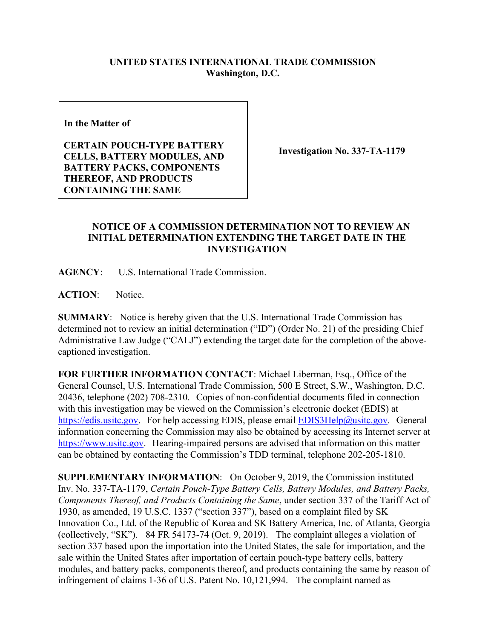## **UNITED STATES INTERNATIONAL TRADE COMMISSION Washington, D.C.**

**In the Matter of** 

**CERTAIN POUCH-TYPE BATTERY CELLS, BATTERY MODULES, AND BATTERY PACKS, COMPONENTS THEREOF, AND PRODUCTS CONTAINING THE SAME**

**Investigation No. 337-TA-1179**

## **NOTICE OF A COMMISSION DETERMINATION NOT TO REVIEW AN INITIAL DETERMINATION EXTENDING THE TARGET DATE IN THE INVESTIGATION**

**AGENCY**: U.S. International Trade Commission.

ACTION: Notice.

**SUMMARY**: Notice is hereby given that the U.S. International Trade Commission has determined not to review an initial determination ("ID") (Order No. 21) of the presiding Chief Administrative Law Judge ("CALJ") extending the target date for the completion of the abovecaptioned investigation.

**FOR FURTHER INFORMATION CONTACT**: Michael Liberman, Esq., Office of the General Counsel, U.S. International Trade Commission, 500 E Street, S.W., Washington, D.C. 20436, telephone (202) 708-2310. Copies of non-confidential documents filed in connection with this investigation may be viewed on the Commission's electronic docket (EDIS) at [https://edis.usitc.gov.](https://edis.usitc.gov/) For help accessing EDIS, please email **EDIS3Help@usitc.gov**. General information concerning the Commission may also be obtained by accessing its Internet server at [https://www.usitc.gov.](https://www.usitc.gov/) Hearing-impaired persons are advised that information on this matter can be obtained by contacting the Commission's TDD terminal, telephone 202-205-1810.

**SUPPLEMENTARY INFORMATION**: On October 9, 2019, the Commission instituted Inv. No. 337-TA-1179, *Certain Pouch-Type Battery Cells, Battery Modules, and Battery Packs, Components Thereof, and Products Containing the Same*, under section 337 of the Tariff Act of 1930, as amended, 19 U.S.C. 1337 ("section 337"), based on a complaint filed by SK Innovation Co., Ltd. of the Republic of Korea and SK Battery America, Inc. of Atlanta, Georgia (collectively, "SK"). 84 FR 54173-74 (Oct. 9, 2019). The complaint alleges a violation of section 337 based upon the importation into the United States, the sale for importation, and the sale within the United States after importation of certain pouch-type battery cells, battery modules, and battery packs, components thereof, and products containing the same by reason of infringement of claims 1-36 of U.S. Patent No. 10,121,994. The complaint named as